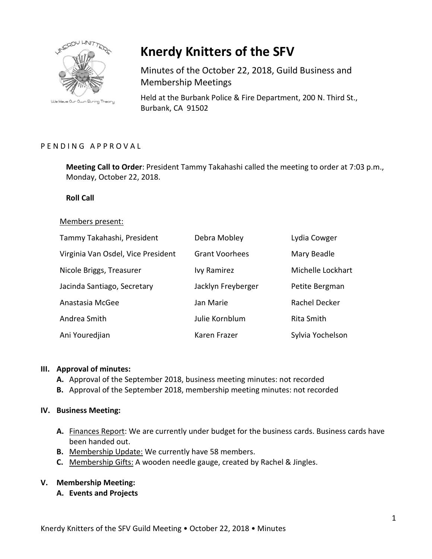

**Knerdy Knitters of the SFV**

Minutes of the October 22, 2018, Guild Business and Membership Meetings

Held at the Burbank Police & Fire Department, 200 N. Third St., Burbank, CA 91502

# PENDING APPROVAL

**Meeting Call to Order**: President Tammy Takahashi called the meeting to order at 7:03 p.m., Monday, October 22, 2018.

### **Roll Call**

#### Members present:

| Tammy Takahashi, President         | Debra Mobley          | Lydia Cowger      |
|------------------------------------|-----------------------|-------------------|
| Virginia Van Osdel, Vice President | <b>Grant Voorhees</b> | Mary Beadle       |
| Nicole Briggs, Treasurer           | <b>Ivy Ramirez</b>    | Michelle Lockhart |
| Jacinda Santiago, Secretary        | Jacklyn Freyberger    | Petite Bergman    |
| Anastasia McGee                    | Jan Marie             | Rachel Decker     |
| Andrea Smith                       | Julie Kornblum        | Rita Smith        |
| Ani Youredjian                     | Karen Frazer          | Sylvia Yochelson  |

#### **III. Approval of minutes:**

- **A.** Approval of the September 2018, business meeting minutes: not recorded
- **B.** Approval of the September 2018, membership meeting minutes: not recorded

### **IV. Business Meeting:**

- **A.** Finances Report: We are currently under budget for the business cards. Business cards have been handed out.
- **B.** Membership Update: We currently have 58 members.
- **C.** Membership Gifts: A wooden needle gauge, created by Rachel & Jingles.

### **V. Membership Meeting:**

**A. Events and Projects**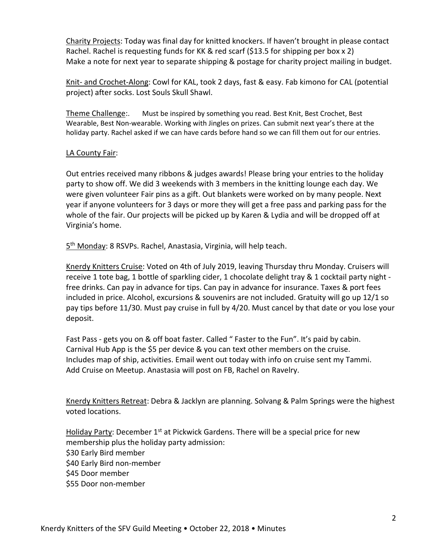Charity Projects: Today was final day for knitted knockers. If haven't brought in please contact Rachel. Rachel is requesting funds for KK & red scarf (\$13.5 for shipping per box x 2) Make a note for next year to separate shipping & postage for charity project mailing in budget.

Knit- and Crochet-Along: Cowl for KAL, took 2 days, fast & easy. Fab kimono for CAL (potential project) after socks. Lost Souls Skull Shawl.

Theme Challenge:. Must be inspired by something you read. Best Knit, Best Crochet, Best Wearable, Best Non-wearable. Working with Jingles on prizes. Can submit next year's there at the holiday party. Rachel asked if we can have cards before hand so we can fill them out for our entries.

# LA County Fair:

Out entries received many ribbons & judges awards! Please bring your entries to the holiday party to show off. We did 3 weekends with 3 members in the knitting lounge each day. We were given volunteer Fair pins as a gift. Out blankets were worked on by many people. Next year if anyone volunteers for 3 days or more they will get a free pass and parking pass for the whole of the fair. Our projects will be picked up by Karen & Lydia and will be dropped off at Virginia's home.

5<sup>th</sup> Monday: 8 RSVPs. Rachel, Anastasia, Virginia, will help teach.

Knerdy Knitters Cruise: Voted on 4th of July 2019, leaving Thursday thru Monday. Cruisers will receive 1 tote bag, 1 bottle of sparkling cider, 1 chocolate delight tray & 1 cocktail party night free drinks. Can pay in advance for tips. Can pay in advance for insurance. Taxes & port fees included in price. Alcohol, excursions & souvenirs are not included. Gratuity will go up 12/1 so pay tips before 11/30. Must pay cruise in full by 4/20. Must cancel by that date or you lose your deposit.

Fast Pass - gets you on & off boat faster. Called " Faster to the Fun". It's paid by cabin. Carnival Hub App is the \$5 per device & you can text other members on the cruise. Includes map of ship, activities. Email went out today with info on cruise sent my Tammi. Add Cruise on Meetup. Anastasia will post on FB, Rachel on Ravelry.

Knerdy Knitters Retreat: Debra & Jacklyn are planning. Solvang & Palm Springs were the highest voted locations.

Holiday Party: December  $1<sup>st</sup>$  at Pickwick Gardens. There will be a special price for new membership plus the holiday party admission: \$30 Early Bird member \$40 Early Bird non-member \$45 Door member \$55 Door non-member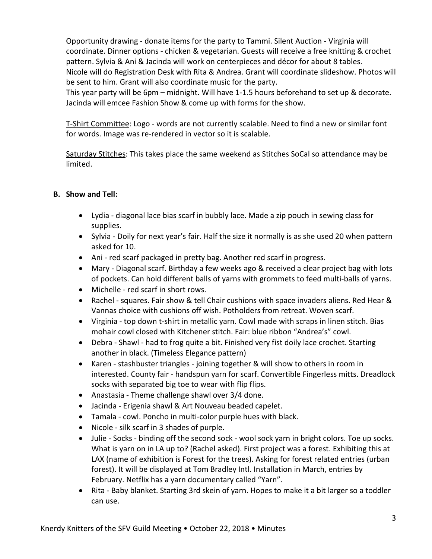Opportunity drawing - donate items for the party to Tammi. Silent Auction - Virginia will coordinate. Dinner options - chicken & vegetarian. Guests will receive a free knitting & crochet pattern. Sylvia & Ani & Jacinda will work on centerpieces and décor for about 8 tables. Nicole will do Registration Desk with Rita & Andrea. Grant will coordinate slideshow. Photos will be sent to him. Grant will also coordinate music for the party.

This year party will be 6pm – midnight. Will have 1-1.5 hours beforehand to set up & decorate. Jacinda will emcee Fashion Show & come up with forms for the show.

T-Shirt Committee: Logo - words are not currently scalable. Need to find a new or similar font for words. Image was re-rendered in vector so it is scalable.

Saturday Stitches: This takes place the same weekend as Stitches SoCal so attendance may be limited.

# **B. Show and Tell:**

- Lydia diagonal lace bias scarf in bubbly lace. Made a zip pouch in sewing class for supplies.
- Sylvia Doily for next year's fair. Half the size it normally is as she used 20 when pattern asked for 10.
- Ani red scarf packaged in pretty bag. Another red scarf in progress.
- Mary Diagonal scarf. Birthday a few weeks ago & received a clear project bag with lots of pockets. Can hold different balls of yarns with grommets to feed multi-balls of yarns.
- Michelle red scarf in short rows.
- Rachel squares. Fair show & tell Chair cushions with space invaders aliens. Red Hear & Vannas choice with cushions off wish. Potholders from retreat. Woven scarf.
- Virginia top down t-shirt in metallic yarn. Cowl made with scraps in linen stitch. Bias mohair cowl closed with Kitchener stitch. Fair: blue ribbon "Andrea's" cowl.
- Debra Shawl had to frog quite a bit. Finished very fist doily lace crochet. Starting another in black. (Timeless Elegance pattern)
- Karen stashbuster triangles joining together & will show to others in room in interested. County fair - handspun yarn for scarf. Convertible Fingerless mitts. Dreadlock socks with separated big toe to wear with flip flips.
- Anastasia Theme challenge shawl over 3/4 done.
- Jacinda Erigenia shawl & Art Nouveau beaded capelet.
- Tamala cowl. Poncho in multi-color purple hues with black.
- Nicole silk scarf in 3 shades of purple.
- Julie Socks binding off the second sock wool sock yarn in bright colors. Toe up socks. What is yarn on in LA up to? (Rachel asked). First project was a forest. Exhibiting this at LAX (name of exhibition is Forest for the trees). Asking for forest related entries (urban forest). It will be displayed at Tom Bradley Intl. Installation in March, entries by February. Netflix has a yarn documentary called "Yarn".
- Rita Baby blanket. Starting 3rd skein of yarn. Hopes to make it a bit larger so a toddler can use.